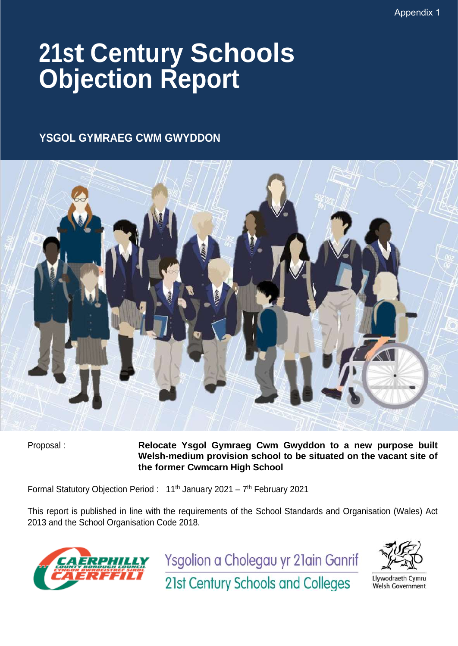# **21st Century Schools Objection Report**

#### **YSGOL GYMRAEG CWM GWYDDON**



Proposal : **Relocate Ysgol Gymraeg Cwm Gwyddon to a new purpose built Welsh-medium provision school to be situated on the vacant site of the former Cwmcarn High School**

Formal Statutory Objection Period: 11<sup>th</sup> January 2021 – 7<sup>th</sup> February 2021

This report is published in line with the requirements of the School Standards and Organisation (Wales) Act 2013 and the School Organisation Code 2018.



Ysgolion a Cholegau yr 21ain Ganrif



Llywodraeth Cymru Welsh Government

21st Century Schools and Colleges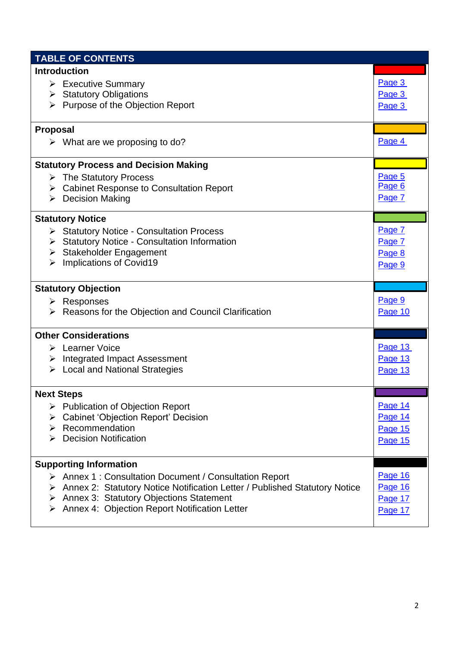| <b>TABLE OF CONTENTS</b>                                                                                                                                                                                                                             |                                          |
|------------------------------------------------------------------------------------------------------------------------------------------------------------------------------------------------------------------------------------------------------|------------------------------------------|
| <b>Introduction</b>                                                                                                                                                                                                                                  |                                          |
| $\triangleright$ Executive Summary<br>$\triangleright$ Statutory Obligations<br>$\triangleright$ Purpose of the Objection Report                                                                                                                     | Page 3<br>Page 3<br>Page 3               |
| <b>Proposal</b>                                                                                                                                                                                                                                      |                                          |
| $\triangleright$ What are we proposing to do?                                                                                                                                                                                                        | Page 4                                   |
| <b>Statutory Process and Decision Making</b>                                                                                                                                                                                                         |                                          |
| $\triangleright$ The Statutory Process<br>> Cabinet Response to Consultation Report<br>$\triangleright$ Decision Making                                                                                                                              | Page 5<br>Page 6<br>Page 7               |
| <b>Statutory Notice</b>                                                                                                                                                                                                                              |                                          |
| Statutory Notice - Consultation Process<br>> Statutory Notice - Consultation Information<br>> Stakeholder Engagement<br><b>Implications of Covid19</b><br>≻                                                                                          | Page 7<br>Page 7<br>Page 8<br>Page 9     |
| <b>Statutory Objection</b>                                                                                                                                                                                                                           |                                          |
| $\triangleright$ Responses<br>$\triangleright$ Reasons for the Objection and Council Clarification                                                                                                                                                   | Page 9<br>Page 10                        |
| <b>Other Considerations</b>                                                                                                                                                                                                                          |                                          |
| > Learner Voice<br>> Integrated Impact Assessment<br>$\triangleright$ Local and National Strategies                                                                                                                                                  | Page 13<br>Page 13<br>Page 13            |
| <b>Next Steps</b>                                                                                                                                                                                                                                    |                                          |
| $\triangleright$ Publication of Objection Report<br><b>Cabinet 'Objection Report' Decision</b><br>➤<br>Recommendation<br>$\blacktriangleright$<br><b>Decision Notification</b><br>⋗                                                                  | Page 14<br>Page 14<br>Page 15<br>Page 15 |
| <b>Supporting Information</b>                                                                                                                                                                                                                        |                                          |
| > Annex 1 : Consultation Document / Consultation Report<br>> Annex 2: Statutory Notice Notification Letter / Published Statutory Notice<br><b>Annex 3: Statutory Objections Statement</b><br>➤<br>Annex 4: Objection Report Notification Letter<br>➤ | Page 16<br>Page 16<br>Page 17<br>Page 17 |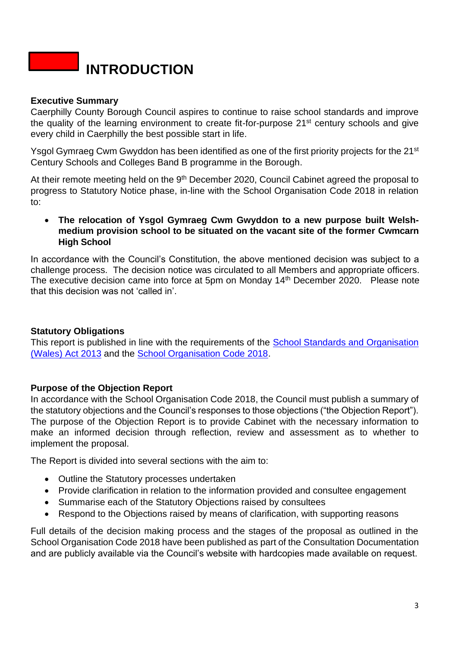

#### **Executive Summary**

Caerphilly County Borough Council aspires to continue to raise school standards and improve the quality of the learning environment to create fit-for-purpose 21<sup>st</sup> century schools and give every child in Caerphilly the best possible start in life.

Ysgol Gymraeg Cwm Gwyddon has been identified as one of the first priority projects for the 21<sup>st</sup> Century Schools and Colleges Band B programme in the Borough.

At their remote meeting held on the 9<sup>th</sup> December 2020, Council Cabinet agreed the proposal to progress to Statutory Notice phase, in-line with the School Organisation Code 2018 in relation to:

• **The relocation of Ysgol Gymraeg Cwm Gwyddon to a new purpose built Welshmedium provision school to be situated on the vacant site of the former Cwmcarn High School**

In accordance with the Council's Constitution, the above mentioned decision was subject to a challenge process. The decision notice was circulated to all Members and appropriate officers. The executive decision came into force at 5pm on Monday 14<sup>th</sup> December 2020. Please note that this decision was not 'called in'.

#### <span id="page-2-0"></span>**Statutory Obligations**

This report is published in line with the requirements of the School Standards and Organisation [\(Wales\) Act 2013](https://www.legislation.gov.uk/anaw/2013/1/contents/enacted) and the [School Organisation Code 2018.](https://gov.wales/sites/default/files/publications/2018-10/school-organisation-code-second-edition.pdf)

#### <span id="page-2-1"></span>**Purpose of the Objection Report**

In accordance with the School Organisation Code 2018, the Council must publish a summary of the statutory objections and the Council's responses to those objections ("the Objection Report"). The purpose of the Objection Report is to provide Cabinet with the necessary information to make an informed decision through reflection, review and assessment as to whether to implement the proposal.

The Report is divided into several sections with the aim to:

- Outline the Statutory processes undertaken
- Provide clarification in relation to the information provided and consultee engagement
- Summarise each of the Statutory Objections raised by consultees
- Respond to the Objections raised by means of clarification, with supporting reasons

Full details of the decision making process and the stages of the proposal as outlined in the School Organisation Code 2018 have been published as part of the Consultation Documentation and are publicly available via the Council's website with hardcopies made available on request.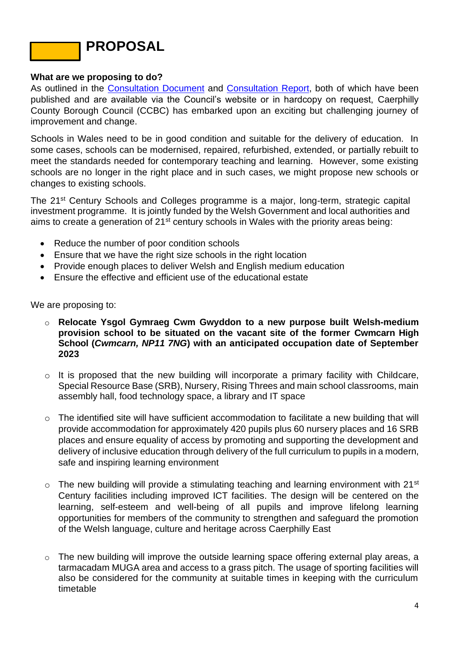### **PROPOSAL**

#### <span id="page-3-0"></span>**What are we proposing to do?**

As outlined in the [Consultation Document](https://www.caerphilly.gov.uk/CaerphillyDocs/Consultations/Consultation-Document-2020-(Cwm-Gwyddon).aspx) and [Consultation Report,](https://www.caerphilly.gov.uk/CaerphillyDocs/Consultations/Cwm-Gwyddon-Consultation-Report-2020.aspx) both of which have been published and are available via the Council's website or in hardcopy on request, Caerphilly County Borough Council (CCBC) has embarked upon an exciting but challenging journey of improvement and change.

Schools in Wales need to be in good condition and suitable for the delivery of education. In some cases, schools can be modernised, repaired, refurbished, extended, or partially rebuilt to meet the standards needed for contemporary teaching and learning. However, some existing schools are no longer in the right place and in such cases, we might propose new schools or changes to existing schools.

The 21<sup>st</sup> Century Schools and Colleges programme is a major, long-term, strategic capital investment programme. It is jointly funded by the Welsh Government and local authorities and aims to create a generation of 21<sup>st</sup> century schools in Wales with the priority areas being:

- Reduce the number of poor condition schools
- Ensure that we have the right size schools in the right location
- Provide enough places to deliver Welsh and English medium education
- Ensure the effective and efficient use of the educational estate

We are proposing to:

- o **Relocate Ysgol Gymraeg Cwm Gwyddon to a new purpose built Welsh-medium provision school to be situated on the vacant site of the former Cwmcarn High School (***Cwmcarn, NP11 7NG***) with an anticipated occupation date of September 2023**
- $\circ$  It is proposed that the new building will incorporate a primary facility with Childcare, Special Resource Base (SRB), Nursery, Rising Threes and main school classrooms, main assembly hall, food technology space, a library and IT space
- $\circ$  The identified site will have sufficient accommodation to facilitate a new building that will provide accommodation for approximately 420 pupils plus 60 nursery places and 16 SRB places and ensure equality of access by promoting and supporting the development and delivery of inclusive education through delivery of the full curriculum to pupils in a modern, safe and inspiring learning environment
- $\circ$  The new building will provide a stimulating teaching and learning environment with 21<sup>st</sup> Century facilities including improved ICT facilities. The design will be centered on the learning, self-esteem and well-being of all pupils and improve lifelong learning opportunities for members of the community to strengthen and safeguard the promotion of the Welsh language, culture and heritage across Caerphilly East
- o The new building will improve the outside learning space offering external play areas, a tarmacadam MUGA area and access to a grass pitch. The usage of sporting facilities will also be considered for the community at suitable times in keeping with the curriculum timetable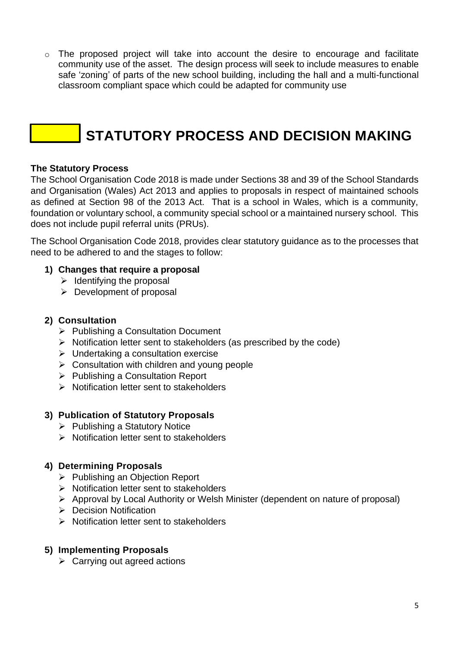$\circ$  The proposed project will take into account the desire to encourage and facilitate community use of the asset. The design process will seek to include measures to enable safe 'zoning' of parts of the new school building, including the hall and a multi-functional classroom compliant space which could be adapted for community use

# **STATUTORY PROCESS AND DECISION MAKING**

#### <span id="page-4-0"></span>**The Statutory Process**

The School Organisation Code 2018 is made under Sections 38 and 39 of the School Standards and Organisation (Wales) Act 2013 and applies to proposals in respect of maintained schools as defined at Section 98 of the 2013 Act. That is a school in Wales, which is a community, foundation or voluntary school, a community special school or a maintained nursery school. This does not include pupil referral units (PRUs).

The School Organisation Code 2018, provides clear statutory guidance as to the processes that need to be adhered to and the stages to follow:

#### **1) Changes that require a proposal**

- $\triangleright$  Identifying the proposal
- $\triangleright$  Development of proposal

#### **2) Consultation**

- ➢ Publishing a Consultation Document
- ➢ Notification letter sent to stakeholders (as prescribed by the code)
- ➢ Undertaking a consultation exercise
- ➢ Consultation with children and young people
- ➢ Publishing a Consultation Report
- ➢ Notification letter sent to stakeholders

#### **3) Publication of Statutory Proposals**

- ➢ Publishing a Statutory Notice
- ➢ Notification letter sent to stakeholders

#### **4) Determining Proposals**

- ➢ Publishing an Objection Report
- ➢ Notification letter sent to stakeholders
- ➢ Approval by Local Authority or Welsh Minister (dependent on nature of proposal)
- ➢ Decision Notification
- ➢ Notification letter sent to stakeholders

#### **5) Implementing Proposals**

 $\triangleright$  Carrying out agreed actions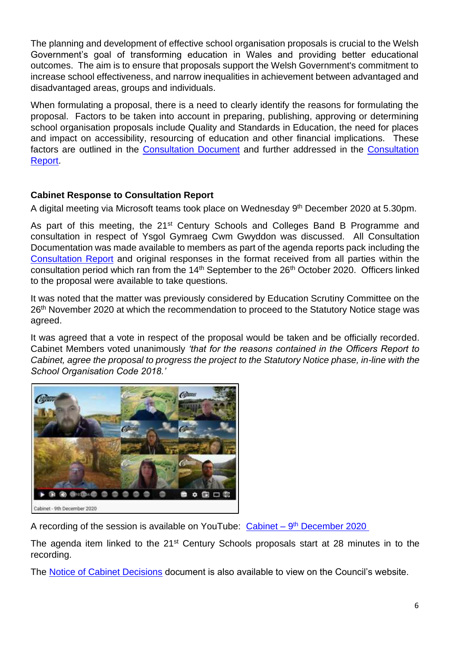The planning and development of effective school organisation proposals is crucial to the Welsh Government's goal of transforming education in Wales and providing better educational outcomes. The aim is to ensure that proposals support the Welsh Government's commitment to increase school effectiveness, and narrow inequalities in achievement between advantaged and disadvantaged areas, groups and individuals.

When formulating a proposal, there is a need to clearly identify the reasons for formulating the proposal. Factors to be taken into account in preparing, publishing, approving or determining school organisation proposals include Quality and Standards in Education, the need for places and impact on accessibility, resourcing of education and other financial implications. These factors are outlined in the [Consultation Document](https://www.caerphilly.gov.uk/CaerphillyDocs/Consultations/Consultation-Document-2020-(Cwm-Gwyddon).aspx) and further addressed in the Consultation [Report.](https://www.caerphilly.gov.uk/CaerphillyDocs/Consultations/Cwm-Gwyddon-Consultation-Report-2020.aspx)

#### <span id="page-5-1"></span>**Cabinet Response to Consultation Report**

A digital meeting via Microsoft teams took place on Wednesday 9<sup>th</sup> December 2020 at 5.30pm.

As part of this meeting, the 21<sup>st</sup> Century Schools and Colleges Band B Programme and consultation in respect of Ysgol Gymraeg Cwm Gwyddon was discussed. All Consultation Documentation was made available to members as part of the agenda reports pack including the [Consultation Report](https://www.caerphilly.gov.uk/CaerphillyDocs/Consultations/Cwm-Gwyddon-Consultation-Report-2020.aspx) and original responses in the format received from all parties within the consultation period which ran from the 14<sup>th</sup> September to the 26<sup>th</sup> October 2020. Officers linked to the proposal were available to take questions.

It was noted that the matter was previously considered by Education Scrutiny Committee on the 26<sup>th</sup> November 2020 at which the recommendation to proceed to the Statutory Notice stage was agreed.

It was agreed that a vote in respect of the proposal would be taken and be officially recorded. Cabinet Members voted unanimously *'that for the reasons contained in the Officers Report to Cabinet, agree the proposal to progress the project to the Statutory Notice phase, in-line with the School Organisation Code 2018.'*



A recording of the session is available on YouTube: Cabinet - 9<sup>th</sup> [December 2020](https://youtu.be/kGZt1YYvBtM)

The agenda item linked to the 21<sup>st</sup> Century Schools proposals start at 28 minutes in to the recording.

<span id="page-5-0"></span>The [Notice of Cabinet](https://democracy.caerphilly.gov.uk/documents/s33831/2020.12.09%20Cabinet%20Decision%20Notice.pdf?LLL=1) Decisions document is also available to view on the Council's website.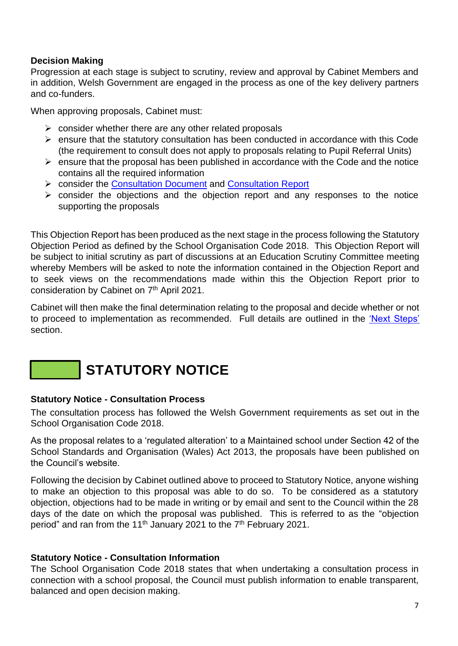#### **Decision Making**

Progression at each stage is subject to scrutiny, review and approval by Cabinet Members and in addition, Welsh Government are engaged in the process as one of the key delivery partners and co-funders.

When approving proposals, Cabinet must:

- $\triangleright$  consider whether there are any other related proposals
- ➢ ensure that the statutory consultation has been conducted in accordance with this Code (the requirement to consult does not apply to proposals relating to Pupil Referral Units)
- $\triangleright$  ensure that the proposal has been published in accordance with the Code and the notice contains all the required information
- ➢ consider the [Consultation Document](https://www.caerphilly.gov.uk/CaerphillyDocs/Consultations/Consultation-Document-2020-(Cwm-Gwyddon).aspx) and [Consultation Report](https://www.caerphilly.gov.uk/CaerphillyDocs/Consultations/Cwm-Gwyddon-Consultation-Report-2020.aspx)
- ➢ consider the objections and the objection report and any responses to the notice supporting the proposals

This Objection Report has been produced as the next stage in the process following the Statutory Objection Period as defined by the School Organisation Code 2018. This Objection Report will be subject to initial scrutiny as part of discussions at an Education Scrutiny Committee meeting whereby Members will be asked to note the information contained in the Objection Report and to seek views on the recommendations made within this the Objection Report prior to consideration by Cabinet on 7<sup>th</sup> April 2021.

Cabinet will then make the final determination relating to the proposal and decide whether or not to proceed to implementation as recommended. Full details are outlined in the ['Next Steps'](#page-13-2) section.

## **STATUTORY NOTICE**

#### <span id="page-6-0"></span>**Statutory Notice - Consultation Process**

The consultation process has followed the Welsh Government requirements as set out in the School Organisation Code 2018.

As the proposal relates to a 'regulated alteration' to a Maintained school under Section 42 of the School Standards and Organisation (Wales) Act 2013, the proposals have been published on the Council's website.

Following the decision by Cabinet outlined above to proceed to Statutory Notice, anyone wishing to make an objection to this proposal was able to do so. To be considered as a statutory objection, objections had to be made in writing or by email and sent to the Council within the 28 days of the date on which the proposal was published. This is referred to as the "objection period" and ran from the 11<sup>th</sup> January 2021 to the  $7<sup>th</sup>$  February 2021.

#### <span id="page-6-1"></span>**Statutory Notice - Consultation Information**

The School Organisation Code 2018 states that when undertaking a consultation process in connection with a school proposal, the Council must publish information to enable transparent, balanced and open decision making.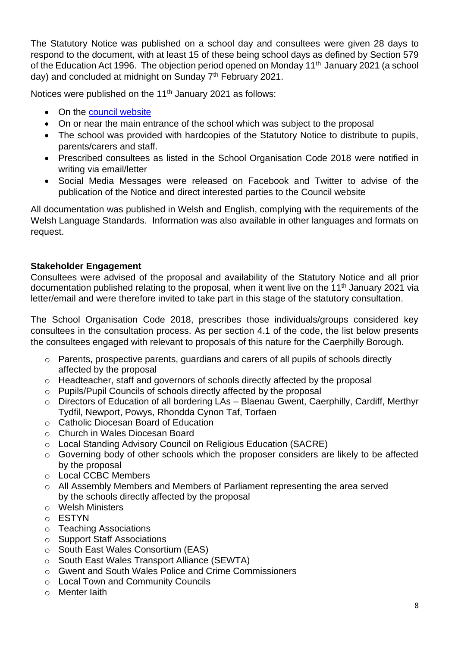The Statutory Notice was published on a school day and consultees were given 28 days to respond to the document, with at least 15 of these being school days as defined by Section 579 of the Education Act 1996. The objection period opened on Monday 11<sup>th</sup> January 2021 (a school day) and concluded at midnight on Sunday  $7<sup>th</sup>$  February 2021.

Notices were published on the  $11<sup>th</sup>$  January 2021 as follows:

- On the [council website](https://www.caerphilly.gov.uk/involved/Consultations/21st-Century-Schools-consultation)
- On or near the main entrance of the school which was subject to the proposal
- The school was provided with hardcopies of the Statutory Notice to distribute to pupils, parents/carers and staff.
- Prescribed consultees as listed in the School Organisation Code 2018 were notified in writing via email/letter
- Social Media Messages were released on Facebook and Twitter to advise of the publication of the Notice and direct interested parties to the Council website

All documentation was published in Welsh and English, complying with the requirements of the Welsh Language Standards. Information was also available in other languages and formats on request.

#### <span id="page-7-0"></span>**Stakeholder Engagement**

Consultees were advised of the proposal and availability of the Statutory Notice and all prior documentation published relating to the proposal, when it went live on the 11<sup>th</sup> January 2021 via letter/email and were therefore invited to take part in this stage of the statutory consultation.

The School Organisation Code 2018, prescribes those individuals/groups considered key consultees in the consultation process. As per section 4.1 of the code, the list below presents the consultees engaged with relevant to proposals of this nature for the Caerphilly Borough.

- o Parents, prospective parents, guardians and carers of all pupils of schools directly affected by the proposal
- o Headteacher, staff and governors of schools directly affected by the proposal
- o Pupils/Pupil Councils of schools directly affected by the proposal
- o Directors of Education of all bordering LAs Blaenau Gwent, Caerphilly, Cardiff, Merthyr Tydfil, Newport, Powys, Rhondda Cynon Taf, Torfaen
- o Catholic Diocesan Board of Education
- o Church in Wales Diocesan Board
- o Local Standing Advisory Council on Religious Education (SACRE)
- o Governing body of other schools which the proposer considers are likely to be affected by the proposal
- o Local CCBC Members
- o All Assembly Members and Members of Parliament representing the area served by the schools directly affected by the proposal
- o Welsh Ministers
- o ESTYN
- o Teaching Associations
- o Support Staff Associations
- o South East Wales Consortium (EAS)
- o South East Wales Transport Alliance (SEWTA)
- o Gwent and South Wales Police and Crime Commissioners
- o Local Town and Community Councils
- o Menter Iaith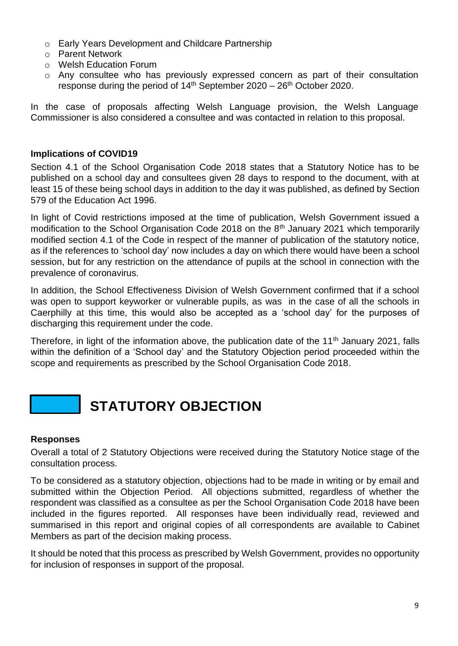- o Early Years Development and Childcare Partnership
- o Parent Network
- o Welsh Education Forum
- o Any consultee who has previously expressed concern as part of their consultation response during the period of  $14<sup>th</sup>$  September 2020 – 26<sup>th</sup> October 2020.

In the case of proposals affecting Welsh Language provision, the Welsh Language Commissioner is also considered a consultee and was contacted in relation to this proposal.

#### <span id="page-8-0"></span>**Implications of COVID19**

Section 4.1 of the School Organisation Code 2018 states that a Statutory Notice has to be published on a school day and consultees given 28 days to respond to the document, with at least 15 of these being school days in addition to the day it was published, as defined by Section 579 of the Education Act 1996.

In light of Covid restrictions imposed at the time of publication, Welsh Government issued a modification to the School Organisation Code 2018 on the  $8<sup>th</sup>$  January 2021 which temporarily modified section 4.1 of the Code in respect of the manner of publication of the statutory notice, as if the references to 'school day' now includes a day on which there would have been a school session, but for any restriction on the attendance of pupils at the school in connection with the prevalence of coronavirus.

In addition, the School Effectiveness Division of Welsh Government confirmed that if a school was open to support keyworker or vulnerable pupils, as was in the case of all the schools in Caerphilly at this time, this would also be accepted as a 'school day' for the purposes of discharging this requirement under the code.

Therefore, in light of the information above, the publication date of the 11<sup>th</sup> January 2021, falls within the definition of a 'School day' and the Statutory Objection period proceeded within the scope and requirements as prescribed by the School Organisation Code 2018.

# **STATUTORY OBJECTION**

#### <span id="page-8-1"></span>**Responses**

Overall a total of 2 Statutory Objections were received during the Statutory Notice stage of the consultation process.

To be considered as a statutory objection, objections had to be made in writing or by email and submitted within the Objection Period. All objections submitted, regardless of whether the respondent was classified as a consultee as per the School Organisation Code 2018 have been included in the figures reported. All responses have been individually read, reviewed and summarised in this report and original copies of all correspondents are available to Cabinet Members as part of the decision making process.

It should be noted that this process as prescribed by Welsh Government, provides no opportunity for inclusion of responses in support of the proposal.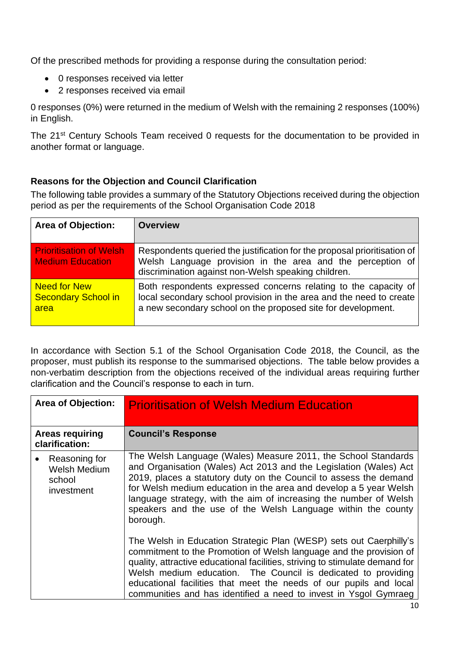Of the prescribed methods for providing a response during the consultation period:

- 0 responses received via letter
- 2 responses received via email

0 responses (0%) were returned in the medium of Welsh with the remaining 2 responses (100%) in English.

The 21<sup>st</sup> Century Schools Team received 0 requests for the documentation to be provided in another format or language.

#### <span id="page-9-0"></span>**Reasons for the Objection and Council Clarification**

The following table provides a summary of the Statutory Objections received during the objection period as per the requirements of the School Organisation Code 2018

| <b>Area of Objection:</b>                                 | <b>Overview</b>                                                                                                                                                                                        |
|-----------------------------------------------------------|--------------------------------------------------------------------------------------------------------------------------------------------------------------------------------------------------------|
| <b>Prioritisation of Welsh</b><br><b>Medium Education</b> | Respondents queried the justification for the proposal prioritisation of<br>Welsh Language provision in the area and the perception of<br>discrimination against non-Welsh speaking children.          |
| <b>Need for New</b><br><b>Secondary School in</b><br>area | Both respondents expressed concerns relating to the capacity of<br>local secondary school provision in the area and the need to create<br>a new secondary school on the proposed site for development. |

In accordance with Section 5.1 of the School Organisation Code 2018, the Council, as the proposer, must publish its response to the summarised objections. The table below provides a non-verbatim description from the objections received of the individual areas requiring further clarification and the Council's response to each in turn.

<span id="page-9-1"></span>

| <b>Area of Objection:</b>                                    | <b>Prioritisation of Welsh Medium Education</b>                                                                                                                                                                                                                                                                                                                                                                                     |
|--------------------------------------------------------------|-------------------------------------------------------------------------------------------------------------------------------------------------------------------------------------------------------------------------------------------------------------------------------------------------------------------------------------------------------------------------------------------------------------------------------------|
| <b>Areas requiring</b><br>clarification:                     | <b>Council's Response</b>                                                                                                                                                                                                                                                                                                                                                                                                           |
| Reasoning for<br><b>Welsh Medium</b><br>school<br>investment | The Welsh Language (Wales) Measure 2011, the School Standards<br>and Organisation (Wales) Act 2013 and the Legislation (Wales) Act<br>2019, places a statutory duty on the Council to assess the demand<br>for Welsh medium education in the area and develop a 5 year Welsh<br>language strategy, with the aim of increasing the number of Welsh<br>speakers and the use of the Welsh Language within the county<br>borough.       |
|                                                              | The Welsh in Education Strategic Plan (WESP) sets out Caerphilly's<br>commitment to the Promotion of Welsh language and the provision of<br>quality, attractive educational facilities, striving to stimulate demand for<br>Welsh medium education. The Council is dedicated to providing<br>educational facilities that meet the needs of our pupils and local<br>communities and has identified a need to invest in Ysgol Gymraeg |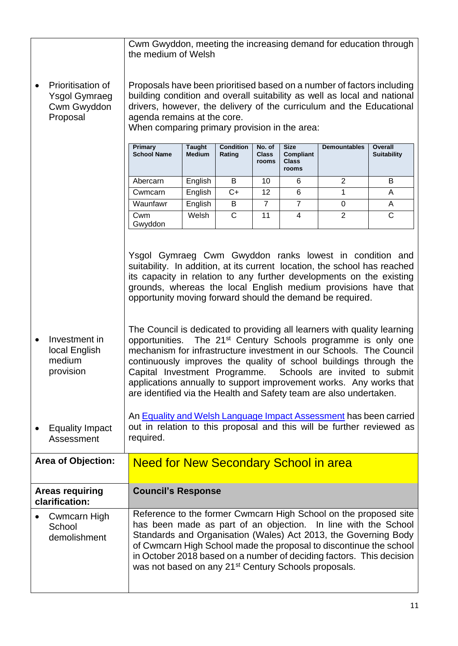<span id="page-10-0"></span>

|                                                                                                                            | Cwm Gwyddon, meeting the increasing demand for education through<br>the medium of Welsh                                                                                                                                                                                                                                                                                                                                                                                                                                                                                                                                                                                                                                                                                                                                                                                                                                           |                                                                                                                                                                                                                                                                                                            |                            |                                 |                                                   |                                                                                                                                                                                                                                                                                                                                                     |                                      |
|----------------------------------------------------------------------------------------------------------------------------|-----------------------------------------------------------------------------------------------------------------------------------------------------------------------------------------------------------------------------------------------------------------------------------------------------------------------------------------------------------------------------------------------------------------------------------------------------------------------------------------------------------------------------------------------------------------------------------------------------------------------------------------------------------------------------------------------------------------------------------------------------------------------------------------------------------------------------------------------------------------------------------------------------------------------------------|------------------------------------------------------------------------------------------------------------------------------------------------------------------------------------------------------------------------------------------------------------------------------------------------------------|----------------------------|---------------------------------|---------------------------------------------------|-----------------------------------------------------------------------------------------------------------------------------------------------------------------------------------------------------------------------------------------------------------------------------------------------------------------------------------------------------|--------------------------------------|
| Prioritisation of<br><b>Ysgol Gymraeg</b><br>Cwm Gwyddon<br>Proposal                                                       |                                                                                                                                                                                                                                                                                                                                                                                                                                                                                                                                                                                                                                                                                                                                                                                                                                                                                                                                   | Proposals have been prioritised based on a number of factors including<br>building condition and overall suitability as well as local and national<br>drivers, however, the delivery of the curriculum and the Educational<br>agenda remains at the core.<br>When comparing primary provision in the area: |                            |                                 |                                                   |                                                                                                                                                                                                                                                                                                                                                     |                                      |
|                                                                                                                            | Primary<br><b>School Name</b>                                                                                                                                                                                                                                                                                                                                                                                                                                                                                                                                                                                                                                                                                                                                                                                                                                                                                                     | <b>Taught</b><br><b>Medium</b>                                                                                                                                                                                                                                                                             | <b>Condition</b><br>Rating | No. of<br><b>Class</b><br>rooms | <b>Size</b><br><b>Compliant</b><br>Class<br>rooms | <b>Demountables</b>                                                                                                                                                                                                                                                                                                                                 | <b>Overall</b><br><b>Suitability</b> |
|                                                                                                                            | Abercarn                                                                                                                                                                                                                                                                                                                                                                                                                                                                                                                                                                                                                                                                                                                                                                                                                                                                                                                          | English                                                                                                                                                                                                                                                                                                    | B                          | 10                              | 6                                                 | $\overline{2}$                                                                                                                                                                                                                                                                                                                                      | В                                    |
|                                                                                                                            | Cwmcarn                                                                                                                                                                                                                                                                                                                                                                                                                                                                                                                                                                                                                                                                                                                                                                                                                                                                                                                           | English                                                                                                                                                                                                                                                                                                    | C+                         | 12                              | 6                                                 | 1                                                                                                                                                                                                                                                                                                                                                   | Α                                    |
|                                                                                                                            | Waunfawr                                                                                                                                                                                                                                                                                                                                                                                                                                                                                                                                                                                                                                                                                                                                                                                                                                                                                                                          | English                                                                                                                                                                                                                                                                                                    | B                          | $\overline{7}$                  | $\overline{7}$                                    | 0                                                                                                                                                                                                                                                                                                                                                   | A                                    |
|                                                                                                                            | Cwm<br>Gwyddon                                                                                                                                                                                                                                                                                                                                                                                                                                                                                                                                                                                                                                                                                                                                                                                                                                                                                                                    | Welsh                                                                                                                                                                                                                                                                                                      | $\mathsf{C}$               | 11                              | $\overline{4}$                                    | $\overline{2}$                                                                                                                                                                                                                                                                                                                                      | C                                    |
| Investment in<br>local English<br>medium<br>provision<br><b>Equality Impact</b><br>Assessment<br><b>Area of Objection:</b> | its capacity in relation to any further developments on the existing<br>grounds, whereas the local English medium provisions have that<br>opportunity moving forward should the demand be required.<br>The Council is dedicated to providing all learners with quality learning<br>The 21 <sup>st</sup> Century Schools programme is only one<br>opportunities.<br>mechanism for infrastructure investment in our Schools. The Council<br>continuously improves the quality of school buildings through the<br>Capital Investment Programme. Schools are invited to submit<br>applications annually to support improvement works. Any works that<br>are identified via the Health and Safety team are also undertaken.<br>An Equality and Welsh Language Impact Assessment has been carried<br>out in relation to this proposal and this will be further reviewed as<br>required.<br><b>Need for New Secondary School in area</b> |                                                                                                                                                                                                                                                                                                            |                            |                                 |                                                   |                                                                                                                                                                                                                                                                                                                                                     |                                      |
|                                                                                                                            |                                                                                                                                                                                                                                                                                                                                                                                                                                                                                                                                                                                                                                                                                                                                                                                                                                                                                                                                   |                                                                                                                                                                                                                                                                                                            |                            |                                 |                                                   |                                                                                                                                                                                                                                                                                                                                                     |                                      |
| <b>Areas requiring</b><br>clarification:                                                                                   | <b>Council's Response</b>                                                                                                                                                                                                                                                                                                                                                                                                                                                                                                                                                                                                                                                                                                                                                                                                                                                                                                         |                                                                                                                                                                                                                                                                                                            |                            |                                 |                                                   |                                                                                                                                                                                                                                                                                                                                                     |                                      |
| Cwmcarn High<br>School<br>demolishment                                                                                     | was not based on any 21 <sup>st</sup> Century Schools proposals.                                                                                                                                                                                                                                                                                                                                                                                                                                                                                                                                                                                                                                                                                                                                                                                                                                                                  |                                                                                                                                                                                                                                                                                                            |                            |                                 |                                                   | Reference to the former Cwmcarn High School on the proposed site<br>has been made as part of an objection. In line with the School<br>Standards and Organisation (Wales) Act 2013, the Governing Body<br>of Cwmcarn High School made the proposal to discontinue the school<br>in October 2018 based on a number of deciding factors. This decision |                                      |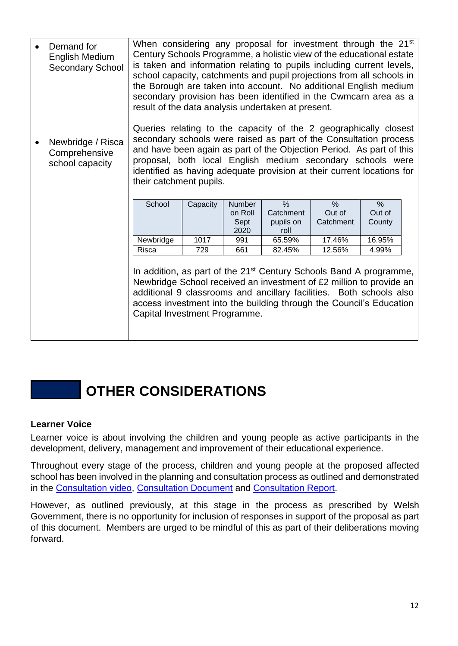| Demand for<br>English Medium<br><b>Secondary School</b> | When considering any proposal for investment through the 21 <sup>st</sup><br>Century Schools Programme, a holistic view of the educational estate<br>is taken and information relating to pupils including current levels,<br>school capacity, catchments and pupil projections from all schools in<br>the Borough are taken into account. No additional English medium<br>secondary provision has been identified in the Cwmcarn area as a<br>result of the data analysis undertaken at present. |      |                 |                        |                     |                  |  |
|---------------------------------------------------------|---------------------------------------------------------------------------------------------------------------------------------------------------------------------------------------------------------------------------------------------------------------------------------------------------------------------------------------------------------------------------------------------------------------------------------------------------------------------------------------------------|------|-----------------|------------------------|---------------------|------------------|--|
| Newbridge / Risca<br>Comprehensive<br>school capacity   | Queries relating to the capacity of the 2 geographically closest<br>secondary schools were raised as part of the Consultation process<br>and have been again as part of the Objection Period. As part of this<br>proposal, both local English medium secondary schools were<br>identified as having adequate provision at their current locations for<br>their catchment pupils.<br>School<br>$\frac{0}{0}$<br>$\frac{0}{0}$<br>$\frac{0}{0}$<br>Capacity<br><b>Number</b>                        |      |                 |                        |                     |                  |  |
|                                                         |                                                                                                                                                                                                                                                                                                                                                                                                                                                                                                   |      | on Roll<br>Sept | Catchment<br>pupils on | Out of<br>Catchment | Out of<br>County |  |
|                                                         | Newbridge                                                                                                                                                                                                                                                                                                                                                                                                                                                                                         | 1017 | 2020<br>991     | roll<br>65.59%         | 17.46%              | 16.95%           |  |
|                                                         | Risca                                                                                                                                                                                                                                                                                                                                                                                                                                                                                             | 729  | 661             | 82.45%                 | 12.56%              | 4.99%            |  |
|                                                         | In addition, as part of the 21 <sup>st</sup> Century Schools Band A programme,<br>Newbridge School received an investment of £2 million to provide an<br>additional 9 classrooms and ancillary facilities. Both schools also<br>access investment into the building through the Council's Education<br>Capital Investment Programme.                                                                                                                                                              |      |                 |                        |                     |                  |  |

# **OTHER CONSIDERATIONS**

#### <span id="page-11-0"></span>**Learner Voice**

Learner voice is about involving the children and young people as active participants in the development, delivery, management and improvement of their educational experience.

Throughout every stage of the process, children and young people at the proposed affected school has been involved in the planning and consultation process as outlined and demonstrated in the [Consultation video,](https://www.youtube.com/watch?v=FnuNmBZX6qk&feature=youtu.be) [Consultation Document](https://www.caerphilly.gov.uk/CaerphillyDocs/Consultations/Consultation-Document-2020-(Cwm-Gwyddon).aspx) and [Consultation Report.](https://www.caerphilly.gov.uk/CaerphillyDocs/Consultations/Cwm-Gwyddon-Consultation-Report-2020.aspx)

<span id="page-11-1"></span>However, as outlined previously, at this stage in the process as prescribed by Welsh Government, there is no opportunity for inclusion of responses in support of the proposal as part of this document. Members are urged to be mindful of this as part of their deliberations moving forward.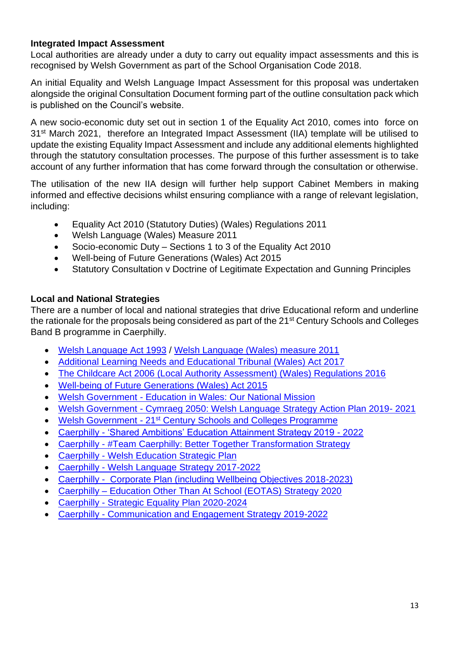#### <span id="page-12-0"></span>**Integrated Impact Assessment**

Local authorities are already under a duty to carry out equality impact assessments and this is recognised by Welsh Government as part of the School Organisation Code 2018.

An initial Equality and Welsh Language Impact Assessment for this proposal was undertaken alongside the original Consultation Document forming part of the outline consultation pack which is published on the Council's website.

A new socio-economic duty set out in section 1 of the Equality Act 2010, comes into force on 31<sup>st</sup> March 2021, therefore an Integrated Impact Assessment (IIA) template will be utilised to update the existing Equality Impact Assessment and include any additional elements highlighted through the statutory consultation processes. The purpose of this further assessment is to take account of any further information that has come forward through the consultation or otherwise.

The utilisation of the new IIA design will further help support Cabinet Members in making informed and effective decisions whilst ensuring compliance with a range of relevant legislation, including:

- Equality Act 2010 (Statutory Duties) (Wales) Regulations 2011
- Welsh Language (Wales) Measure 2011
- Socio-economic Duty Sections 1 to 3 of the Equality Act 2010
- Well-being of Future Generations (Wales) Act 2015
- Statutory Consultation v Doctrine of Legitimate Expectation and Gunning Principles

#### **Local and National Strategies**

There are a number of local and national strategies that drive Educational reform and underline the rationale for the proposals being considered as part of the 21<sup>st</sup> Century Schools and Colleges Band B programme in Caerphilly.

- [Welsh Language Act 1993](https://www.legislation.gov.uk/ukpga/1993/38/contents?lang=en) / [Welsh Language \(Wales\) measure 2011](https://www.legislation.gov.uk/mwa/2011/1/contents?lang=en)
- [Additional Learning Needs and Educational Tribunal \(Wales\) Act 2017](https://gov.wales/additional-learning-needs-and-education-tribunal-wales-act)
- [The Childcare Act 2006 \(Local Authority Assessment\) \(Wales\) Regulations 2016](https://www.legislation.gov.uk/wsi/2016/88/schedule/made)
- [Well-being of Future Generations \(Wales\) Act 2015](https://www.legislation.gov.uk/anaw/2015/2/contents/enacted)
- Welsh Government [Education in Wales: Our National Mission](https://gov.wales/sites/default/files/publications/2020-10/education-in-Wales-our-national-mission-update-october-2020.pdf)
- Welsh Government [Cymraeg 2050: Welsh Language Strategy Action Plan 2019-](https://gov.wales/cymraeg-2050-welsh-language-strategy-action-plan-2019-2020) 2021
- Welsh Government 21<sup>st</sup> [Century Schools and Colleges Programme](https://gov.wales/21st-century-schools-programme)
- Caerphilly ['Shared Ambitions' Education Attainment Strategy 2019 -](https://www.caerphilly.gov.uk/CaerphillyDocs/Schools/EducationAttainmentStrategy2019.aspx) 2022
- Caerphilly [#Team Caerphilly: Better Together Transformation Strategy](https://www.caerphilly.gov.uk/tc-eng/)
- Caerphilly [Welsh Education Strategic Plan](https://www.caerphilly.gov.uk/My-Council/Strategies,-plans-and-policies/Education/Welsh-Education-Strategic-Plan)
- Caerphilly [Welsh Language Strategy 2017-2022](https://www.caerphilly.gov.uk/My-Council/Strategies,-plans-and-policies/Equalities/Welsh-Language-Strategy)
- [Caerphilly Corporate Plan \(including Wellbeing Objectives 2018-2023\)](https://www.caerphilly.gov.uk/My-Council/Strategies,-plans-and-policies/Improvement-Plan/Improvement-Objectives)
- Caerphilly [Education Other Than At School \(EOTAS\) Strategy 2020](https://democracy.caerphilly.gov.uk/documents/s31849/Appendix%201%20EOTAS%20Strategy.pdf)
- Caerphilly [Strategic Equality Plan 2020-2024](https://www.caerphilly.gov.uk/My-Council/Strategies,-plans-and-policies/Equalities/Strategic-Equality-Plan)
- Caerphilly [Communication and Engagement Strategy 2019-2022](https://www.caerphilly.gov.uk/My-Council/Strategies,-plans-and-policies/Corporate-strategies,-plans-and-policies/Communications-and-Engagement-Strategy-2019-2022)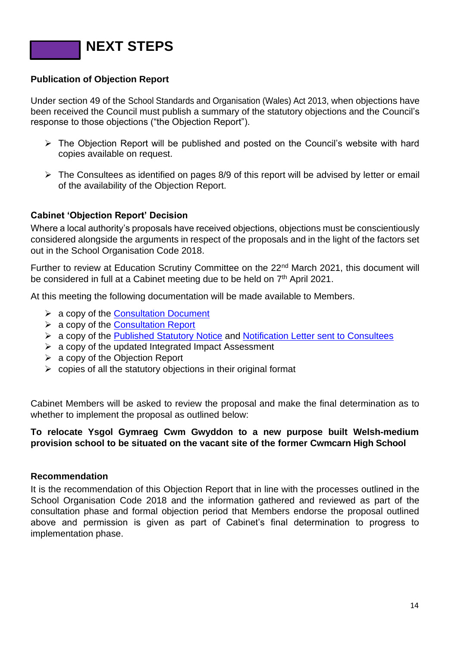<span id="page-13-2"></span>

#### <span id="page-13-0"></span>**Publication of Objection Report**

Under section 49 of the School Standards and Organisation (Wales) Act 2013, when objections have been received the Council must publish a summary of the statutory objections and the Council's response to those objections ("the Objection Report").

- ➢ The Objection Report will be published and posted on the Council's website with hard copies available on request.
- $\triangleright$  The Consultees as identified on pages 8/9 of this report will be advised by letter or email of the availability of the Objection Report.

#### <span id="page-13-1"></span>**Cabinet 'Objection Report' Decision**

Where a local authority's proposals have received objections, objections must be conscientiously considered alongside the arguments in respect of the proposals and in the light of the factors set out in the School Organisation Code 2018.

Further to review at Education Scrutiny Committee on the 22<sup>nd</sup> March 2021, this document will be considered in full at a Cabinet meeting due to be held on 7<sup>th</sup> April 2021.

At this meeting the following documentation will be made available to Members.

- $\triangleright$  a copy of the [Consultation Document](https://www.caerphilly.gov.uk/CaerphillyDocs/Consultations/Consultation-Document-2020-(Cwm-Gwyddon).aspx)
- ➢ a copy of the [Consultation Report](https://www.caerphilly.gov.uk/CaerphillyDocs/Consultations/Cwm-Gwyddon-Consultation-Report-2020.aspx)
- ➢ a copy of the [Published Statutory Notice](https://www.caerphilly.gov.uk/CaerphillyDocs/Consultations/Statutory-Notice-(Ysgol-Gymraeg-Cwm-Gwyddon).aspx) and [Notification Letter sent to Consultees](https://www.caerphilly.gov.uk/CaerphillyDocs/Consultations/Consultation-Report-Notification-Letter-Cwm-Gwyddo.aspx)
- $\triangleright$  a copy of the updated Integrated Impact Assessment
- $\triangleright$  a copy of the Objection Report
- $\triangleright$  copies of all the statutory objections in their original format

Cabinet Members will be asked to review the proposal and make the final determination as to whether to implement the proposal as outlined below:

#### **To relocate Ysgol Gymraeg Cwm Gwyddon to a new purpose built Welsh-medium provision school to be situated on the vacant site of the former Cwmcarn High School**

#### **Recommendation**

It is the recommendation of this Objection Report that in line with the processes outlined in the School Organisation Code 2018 and the information gathered and reviewed as part of the consultation phase and formal objection period that Members endorse the proposal outlined above and permission is given as part of Cabinet's final determination to progress to implementation phase.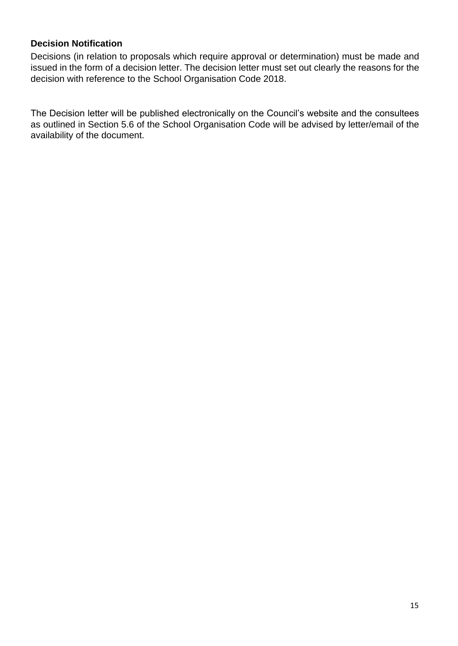#### <span id="page-14-0"></span>**Decision Notification**

Decisions (in relation to proposals which require approval or determination) must be made and issued in the form of a decision letter. The decision letter must set out clearly the reasons for the decision with reference to the School Organisation Code 2018.

The Decision letter will be published electronically on the Council's website and the consultees as outlined in Section 5.6 of the School Organisation Code will be advised by letter/email of the availability of the document.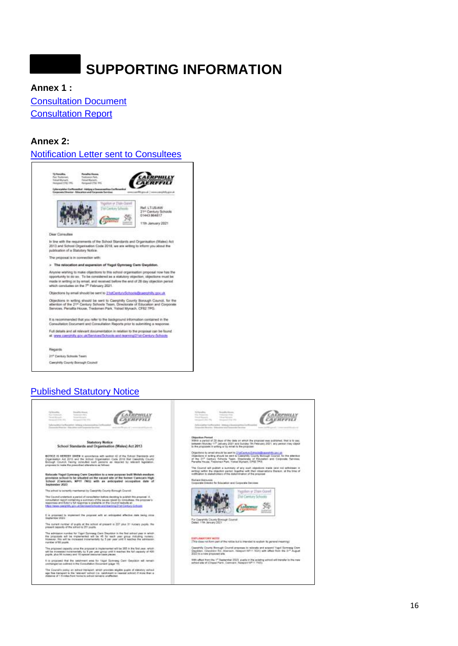# **SUPPORTING INFORMATION**

#### <span id="page-15-0"></span>**Annex 1 :**

[Consultation Document](https://www.caerphilly.gov.uk/CaerphillyDocs/Consultations/Consultation-Document-2020-(Cwm-Gwyddon).aspx) [Consultation Report](https://www.caerphilly.gov.uk/CaerphillyDocs/Consultations/Cwm-Gwyddon-Consultation-Report-2020.aspx)

#### <span id="page-15-1"></span>**Annex 2:**

#### [Notification Letter sent to Consultees](https://www.caerphilly.gov.uk/CaerphillyDocs/Consultations/Consultation-Report-Notification-Letter-Cwm-Gwyddo.aspx)



#### [Published Statutory Notice](https://www.caerphilly.gov.uk/CaerphillyDocs/Consultations/Statutory-Notice-(Ysgol-Gymraeg-Cwm-Gwyddon).aspx)